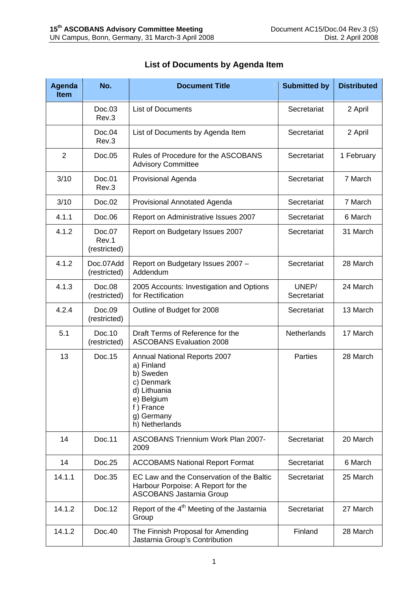| <b>Agenda</b><br><b>Item</b> | No.                             | <b>Document Title</b>                                                                                                                            | <b>Submitted by</b>  | <b>Distributed</b> |
|------------------------------|---------------------------------|--------------------------------------------------------------------------------------------------------------------------------------------------|----------------------|--------------------|
|                              | Doc.03<br>Rev.3                 | <b>List of Documents</b>                                                                                                                         | Secretariat          | 2 April            |
|                              | Doc.04<br>Rev.3                 | List of Documents by Agenda Item                                                                                                                 | Secretariat          | 2 April            |
| $\overline{2}$               | Doc.05                          | Rules of Procedure for the ASCOBANS<br><b>Advisory Committee</b>                                                                                 | Secretariat          | 1 February         |
| 3/10                         | Doc.01<br>Rev.3                 | <b>Provisional Agenda</b>                                                                                                                        | Secretariat          | 7 March            |
| 3/10                         | Doc.02                          | Provisional Annotated Agenda                                                                                                                     | Secretariat          | 7 March            |
| 4.1.1                        | Doc.06                          | Report on Administrative Issues 2007                                                                                                             | Secretariat          | 6 March            |
| 4.1.2                        | Doc.07<br>Rev.1<br>(restricted) | Report on Budgetary Issues 2007                                                                                                                  | Secretariat          | 31 March           |
| 4.1.2                        | Doc.07Add<br>(restricted)       | Report on Budgetary Issues 2007 -<br>Addendum                                                                                                    | Secretariat          | 28 March           |
| 4.1.3                        | Doc.08<br>(restricted)          | 2005 Accounts: Investigation and Options<br>for Rectification                                                                                    | UNEP/<br>Secretariat | 24 March           |
| 4.2.4                        | Doc.09<br>(restricted)          | Outline of Budget for 2008                                                                                                                       | Secretariat          | 13 March           |
| 5.1                          | Doc.10<br>(restricted)          | Draft Terms of Reference for the<br><b>ASCOBANS Evaluation 2008</b>                                                                              | Netherlands          | 17 March           |
| 13                           | Doc.15                          | Annual National Reports 2007<br>a) Finland<br>b) Sweden<br>c) Denmark<br>d) Lithuania<br>e) Belgium<br>f) France<br>g) Germany<br>h) Netherlands | <b>Parties</b>       | 28 March           |
| 14                           | Doc.11                          | <b>ASCOBANS Triennium Work Plan 2007-</b><br>2009                                                                                                | Secretariat          | 20 March           |
| 14                           | Doc.25                          | <b>ACCOBAMS National Report Format</b>                                                                                                           | Secretariat          | 6 March            |
| 14.1.1                       | Doc.35                          | EC Law and the Conservation of the Baltic<br>Harbour Porpoise: A Report for the<br><b>ASCOBANS Jastarnia Group</b>                               | Secretariat          | 25 March           |
| 14.1.2                       | Doc.12                          | Report of the 4 <sup>th</sup> Meeting of the Jastarnia<br>Group                                                                                  | Secretariat          | 27 March           |
| 14.1.2                       | Doc.40                          | The Finnish Proposal for Amending<br>Jastarnia Group's Contribution                                                                              | Finland              | 28 March           |

## **List of Documents by Agenda Item**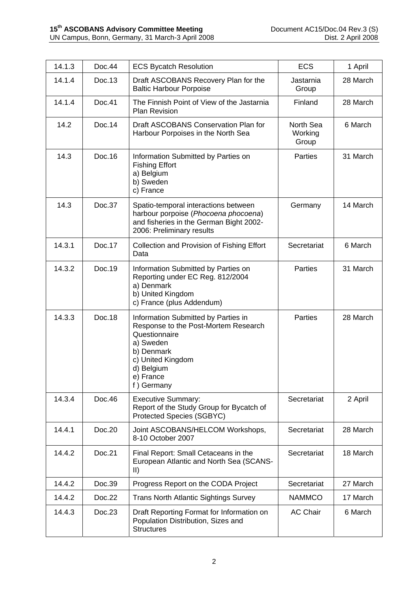| 14.1.3 | Doc.44  | <b>ECS Bycatch Resolution</b>                                                                                                                                                         | <b>ECS</b>                    | 1 April  |
|--------|---------|---------------------------------------------------------------------------------------------------------------------------------------------------------------------------------------|-------------------------------|----------|
| 14.1.4 | Doc.13  | Draft ASCOBANS Recovery Plan for the<br><b>Baltic Harbour Porpoise</b>                                                                                                                | Jastarnia<br>Group            | 28 March |
| 14.1.4 | Doc.41  | The Finnish Point of View of the Jastarnia<br>Plan Revision                                                                                                                           | Finland                       | 28 March |
| 14.2   | Doc.14  | Draft ASCOBANS Conservation Plan for<br>Harbour Porpoises in the North Sea                                                                                                            | North Sea<br>Working<br>Group | 6 March  |
| 14.3   | Doc. 16 | Information Submitted by Parties on<br><b>Fishing Effort</b><br>a) Belgium<br>b) Sweden<br>c) France                                                                                  | <b>Parties</b>                | 31 March |
| 14.3   | Doc.37  | Spatio-temporal interactions between<br>harbour porpoise (Phocoena phocoena)<br>and fisheries in the German Bight 2002-<br>2006: Preliminary results                                  | Germany                       | 14 March |
| 14.3.1 | Doc.17  | Collection and Provision of Fishing Effort<br>Data                                                                                                                                    | Secretariat                   | 6 March  |
| 14.3.2 | Doc.19  | Information Submitted by Parties on<br>Reporting under EC Reg. 812/2004<br>a) Denmark<br>b) United Kingdom<br>c) France (plus Addendum)                                               | Parties                       | 31 March |
| 14.3.3 | Doc.18  | Information Submitted by Parties in<br>Response to the Post-Mortem Research<br>Questionnaire<br>a) Sweden<br>b) Denmark<br>c) United Kingdom<br>d) Belgium<br>e) France<br>f) Germany | Parties                       | 28 March |
| 14.3.4 | Doc.46  | <b>Executive Summary:</b><br>Report of the Study Group for Bycatch of<br><b>Protected Species (SGBYC)</b>                                                                             | Secretariat                   | 2 April  |
| 14.4.1 | Doc.20  | Joint ASCOBANS/HELCOM Workshops,<br>8-10 October 2007                                                                                                                                 | Secretariat                   | 28 March |
| 14.4.2 | Doc.21  | Final Report: Small Cetaceans in the<br>European Atlantic and North Sea (SCANS-<br>$\mathsf{II}$                                                                                      | Secretariat                   | 18 March |
| 14.4.2 | Doc.39  | Progress Report on the CODA Project                                                                                                                                                   | Secretariat                   | 27 March |
| 14.4.2 | Doc.22  | <b>Trans North Atlantic Sightings Survey</b>                                                                                                                                          | <b>NAMMCO</b>                 | 17 March |
| 14.4.3 | Doc.23  | Draft Reporting Format for Information on<br>Population Distribution, Sizes and<br><b>Structures</b>                                                                                  | <b>AC Chair</b>               | 6 March  |